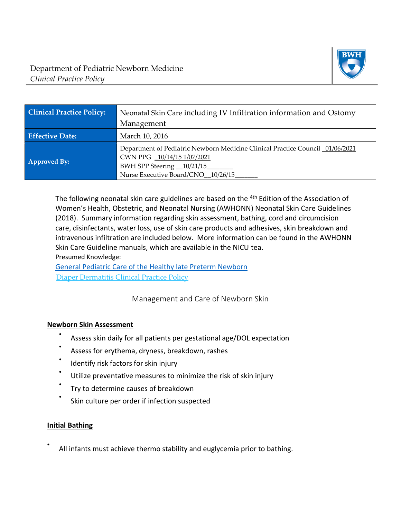

| <b>Clinical Practice Policy:</b> | Neonatal Skin Care including IV Infiltration information and Ostomy<br>Management                                                                                              |
|----------------------------------|--------------------------------------------------------------------------------------------------------------------------------------------------------------------------------|
| <b>Effective Date:</b>           | March 10, 2016                                                                                                                                                                 |
| <b>Approved By:</b>              | Department of Pediatric Newborn Medicine Clinical Practice Council 01/06/2021<br>CWN PPG 10/14/15 1/07/2021<br>BWH SPP Steering 10/21/15<br>Nurse Executive Board/CNO 10/26/15 |

The following neonatal skin care guidelines are based on the <sup>4th</sup> Edition of the Association of Women's Health, Obstetric, and Neonatal Nursing (AWHONN) Neonatal Skin Care Guidelines (2018). Summary information regarding skin assessment, bathing, cord and circumcision care, disinfectants, water loss, use of skin care products and adhesives, skin breakdown and intravenous infiltration are included below. More information can be found in the AWHONN Skin Care Guideline manuals, which are available in the NICU tea.

Presumed Knowledge:

[General Pediatric Care of the Healthy late Preterm Newborn](https://www.bwhpikenotes.org/Departments_Centers/NewbornMedicine_NICU/documents/LPI%20CPG%20revisions%20012320.pdf) [Diaper Dermatitis Clinical Practice Policy](https://www.bwhpikenotes.org/Departments_Centers/NewbornMedicine_NICU/documents/pdf%20Diaper%20Dermitis%20,%20update%2012.2015.pdf)

## Management and Care of Newborn Skin

## **Newborn Skin Assessment**

- Assess skin daily for all patients per gestational age/DOL expectation
- Assess for erythema, dryness, breakdown, rashes
- Identify risk factors for skin injury
- Utilize preventative measures to minimize the risk of skin injury
- Try to determine causes of breakdown
- Skin culture per order if infection suspected

#### **Initial Bathing**

• All infants must achieve thermo stability and euglycemia prior to bathing.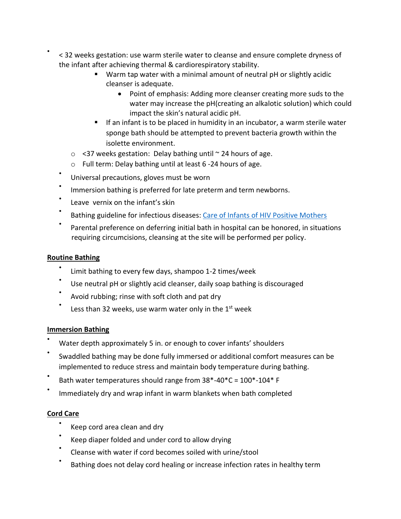- < 32 weeks gestation: use warm sterile water to cleanse and ensure complete dryness of the infant after achieving thermal & cardiorespiratory stability.
	- Warm tap water with a minimal amount of neutral pH or slightly acidic cleanser is adequate.
		- Point of emphasis: Adding more cleanser creating more suds to the water may increase the pH(creating an alkalotic solution) which could impact the skin's natural acidic pH.
	- **■** If an infant is to be placed in humidity in an incubator, a warm sterile water sponge bath should be attempted to prevent bacteria growth within the isolette environment.
	- $\circ$  <37 weeks gestation: Delay bathing until  $\sim$  24 hours of age.
	- o Full term: Delay bathing until at least 6 -24 hours of age.
	- Universal precautions, gloves must be worn
	- Immersion bathing is preferred for late preterm and term newborns.
	- Leave vernix on the infant's skin
	- Bathing guideline for infectious diseases[: Care of Infants of HIV Positive Mothers](https://www.bwhpikenotes.org/Departments_Centers/NewbornMedicine_NICU/documents/Infant%20w.%20HIV%20positive%20mother,%20FINAL.pdf)
	- Parental preference on deferring initial bath in hospital can be honored, in situations requiring circumcisions, cleansing at the site will be performed per policy.

## **Routine Bathing**

•

- Limit bathing to every few days, shampoo 1-2 times/week
- Use neutral pH or slightly acid cleanser, daily soap bathing is discouraged
- Avoid rubbing; rinse with soft cloth and pat dry
- Less than 32 weeks, use warm water only in the 1<sup>st</sup> week

## **Immersion Bathing**

- Water depth approximately 5 in. or enough to cover infants' shoulders
- Swaddled bathing may be done fully immersed or additional comfort measures can be implemented to reduce stress and maintain body temperature during bathing.
- Bath water temperatures should range from 38\*-40\*C = 100\*-104\* F
- Immediately dry and wrap infant in warm blankets when bath completed

## **Cord Care**

- Keep cord area clean and dry
- Keep diaper folded and under cord to allow drying
- Cleanse with water if cord becomes soiled with urine/stool
- Bathing does not delay cord healing or increase infection rates in healthy term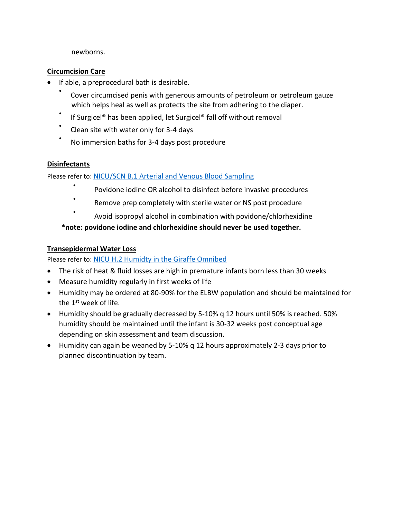newborns.

#### **Circumcision Care**

- If able, a preprocedural bath is desirable.
	- Cover circumcised penis with generous amounts of petroleum or petroleum gauze which helps heal as well as protects the site from adhering to the diaper.
	- If Surgicel® has been applied, let Surgicel® fall off without removal
	- Clean site with water only for 3-4 days
	- No immersion baths for 3-4 days post procedure

#### **Disinfectants**

•

Please refer to: [NICU/SCN B.1 Arterial and Venous Blood Sampling](file://///Cifshd/homedir$/Policy%20Updates/1581142554.7664_49911.pdf)

- Povidone iodine OR alcohol to disinfect before invasive procedures
- Remove prep completely with sterile water or NS post procedure
	- Avoid isopropyl alcohol in combination with povidone/chlorhexidine

**\*note: povidone iodine and chlorhexidine should never be used together.** 

#### **Transepidermal Water Loss**

Please refer to: [NICU H.2 Humidty in the Giraffe Omnibed](https://hospitalpolicies.ellucid.com/documents/view/3208?product=policy)

- The risk of heat & fluid losses are high in premature infants born less than 30 weeks
- Measure humidity regularly in first weeks of life
- Humidity may be ordered at 80-90% for the ELBW population and should be maintained for the 1<sup>st</sup> week of life.
- Humidity should be gradually decreased by 5-10% q 12 hours until 50% is reached. 50% humidity should be maintained until the infant is 30-32 weeks post conceptual age depending on skin assessment and team discussion.
- Humidity can again be weaned by 5-10% q 12 hours approximately 2-3 days prior to planned discontinuation by team.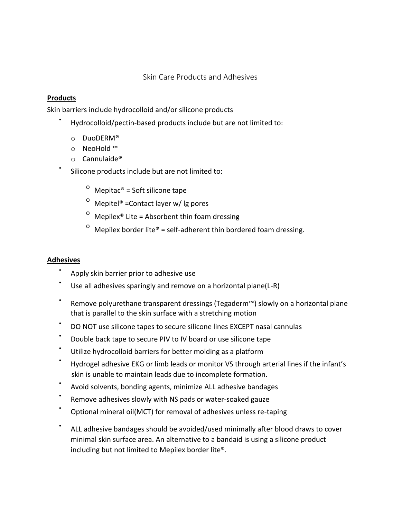## Skin Care Products and Adhesives

#### **Products**

•

Skin barriers include hydrocolloid and/or silicone products

- Hydrocolloid/pectin-based products include but are not limited to:
	- o DuoDERM®
	- o NeoHold ™
	- o Cannulaide®
- Silicone products include but are not limited to:
	- $^{\circ}$  Mepitac® = Soft silicone tape
	- $^{\circ}$  Mepitel® = Contact layer w/ lg pores
	- $^{\circ}$  Mepilex $^{\circ}$  Lite = Absorbent thin foam dressing
	- <sup>o</sup> Mepilex border lite® = self-adherent thin bordered foam dressing.

#### **Adhesives**

- Apply skin barrier prior to adhesive use
- Use all adhesives sparingly and remove on a horizontal plane(L-R)
- Remove polyurethane transparent dressings (Tegaderm™) slowly on a horizontal plane that is parallel to the skin surface with a stretching motion
- DO NOT use silicone tapes to secure silicone lines EXCEPT nasal cannulas
- Double back tape to secure PIV to IV board or use silicone tape
- Utilize hydrocolloid barriers for better molding as a platform
- Hydrogel adhesive EKG or limb leads or monitor VS through arterial lines if the infant's skin is unable to maintain leads due to incomplete formation.
- Avoid solvents, bonding agents, minimize ALL adhesive bandages
- Remove adhesives slowly with NS pads or water-soaked gauze
- Optional mineral oil(MCT) for removal of adhesives unless re-taping
- ALL adhesive bandages should be avoided/used minimally after blood draws to cover minimal skin surface area. An alternative to a bandaid is using a silicone product including but not limited to Mepilex border lite®.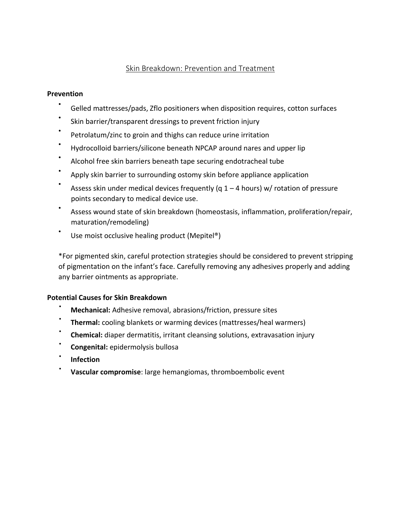## Skin Breakdown: Prevention and Treatment

#### **Prevention**

- Gelled mattresses/pads, Zflo positioners when disposition requires, cotton surfaces
- Skin barrier/transparent dressings to prevent friction injury
- Petrolatum/zinc to groin and thighs can reduce urine irritation
- Hydrocolloid barriers/silicone beneath NPCAP around nares and upper lip
- Alcohol free skin barriers beneath tape securing endotracheal tube
- Apply skin barrier to surrounding ostomy skin before appliance application
- Assess skin under medical devices frequently (q  $1 - 4$  hours) w/ rotation of pressure points secondary to medical device use.
- Assess wound state of skin breakdown (homeostasis, inflammation, proliferation/repair, maturation/remodeling)
- Use moist occlusive healing product (Mepitel®)

\*For pigmented skin, careful protection strategies should be considered to prevent stripping of pigmentation on the infant's face. Carefully removing any adhesives properly and adding any barrier ointments as appropriate.

## **Potential Causes for Skin Breakdown**

- **Mechanical:** Adhesive removal, abrasions/friction, pressure sites
- **Thermal:** cooling blankets or warming devices (mattresses/heal warmers)
- **Chemical:** diaper dermatitis, irritant cleansing solutions, extravasation injury
- **Congenital:** epidermolysis bullosa
- **Infection**
- **Vascular compromise**: large hemangiomas, thromboembolic event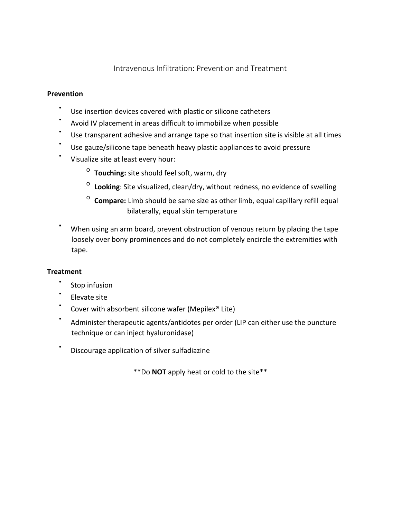## Intravenous Infiltration: Prevention and Treatment

#### **Prevention**

- Use insertion devices covered with plastic or silicone catheters
- Avoid IV placement in areas difficult to immobilize when possible
- Use transparent adhesive and arrange tape so that insertion site is visible at all times
- Use gauze/silicone tape beneath heavy plastic appliances to avoid pressure
- Visualize site at least every hour:
	- <sup>o</sup> Touching: site should feel soft, warm, dry
	- o **Looking**: Site visualized, clean/dry, without redness, no evidence of swelling
	- $\overline{0}$  **Compare:** Limb should be same size as other limb, equal capillary refill equal bilaterally, equal skin temperature
- When using an arm board, prevent obstruction of venous return by placing the tape loosely over bony prominences and do not completely encircle the extremities with tape.

## **Treatment**

- Stop infusion
- Elevate site
- Cover with absorbent silicone wafer (Mepilex® Lite)
- Administer therapeutic agents/antidotes per order (LIP can either use the puncture technique or can inject hyaluronidase)
- Discourage application of silver sulfadiazine

\*\*Do **NOT** apply heat or cold to the site\*\*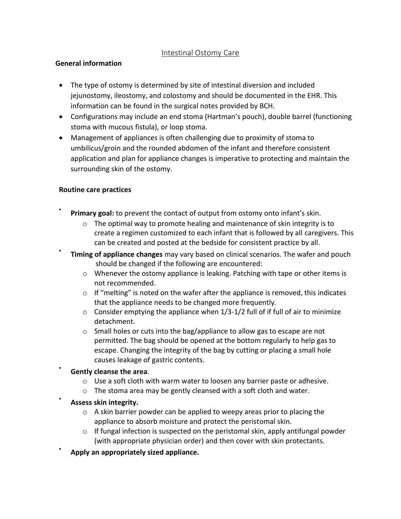## Intestinal Ostomy Care

#### **General information**

- The type of ostomy is determined by site of intestinal diversion and included jejunostomy, ileostomy, and colostomy and should be documented in the EHR. This information can be found in the surgical notes provided by BCH.
- Configurations may include an end stoma (Hartman's pouch), double barrel (functioning stoma with mucous fistula), or loop stoma.
- Management of appliances is often challenging due to proximity of stoma to umbilicus/groin and the rounded abdomen of the infant and therefore consistent application and plan for appliance changes is imperative to protecting and maintain the surrounding skin of the ostomy.

#### **Routine care practices**

•

•

•

•

- **Primary goal:** to prevent the contact of output from ostomy onto infant's skin.
	- o The optimal way to promote healing and maintenance of skin integrity is to create a regimen customized to each infant that is followed by all caregivers. This can be created and posted at the bedside for consistent practice by all.
- **Timing of appliance changes** may vary based on clinical scenarios. The wafer and pouch should be changed if the following are encountered:
	- o Whenever the ostomy appliance is leaking. Patching with tape or other items is not recommended.
	- $\circ$  If "melting" is noted on the wafer after the appliance is removed, this indicates that the appliance needs to be changed more frequently.
	- $\circ$  Consider emptying the appliance when 1/3-1/2 full of if full of air to minimize detachment.
	- o Small holes or cuts into the bag/appliance to allow gas to escape are not permitted. The bag should be opened at the bottom regularly to help gas to escape. Changing the integrity of the bag by cutting or placing a small hole causes leakage of gastric contents.

## • **Gently cleanse the area**.

- $\circ$  Use a soft cloth with warm water to loosen any barrier paste or adhesive.
- o The stoma area may be gently cleansed with a soft cloth and water.
- **Assess skin integrity.**
	- $\circ$  A skin barrier powder can be applied to weepy areas prior to placing the appliance to absorb moisture and protect the peristomal skin.
	- $\circ$  If fungal infection is suspected on the peristomal skin, apply antifungal powder (with appropriate physician order) and then cover with skin protectants.
- **Apply an appropriately sized appliance.**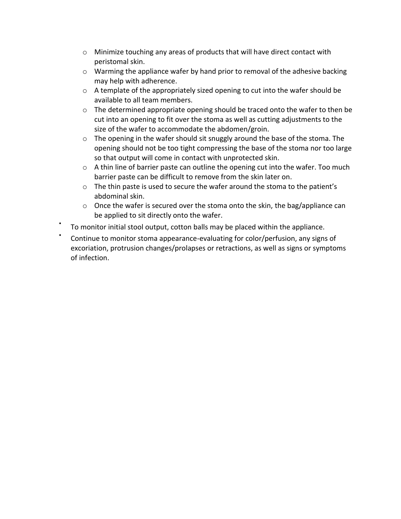- $\circ$  Minimize touching any areas of products that will have direct contact with peristomal skin.
- $\circ$  Warming the appliance wafer by hand prior to removal of the adhesive backing may help with adherence.
- $\circ$  A template of the appropriately sized opening to cut into the wafer should be available to all team members.
- o The determined appropriate opening should be traced onto the wafer to then be cut into an opening to fit over the stoma as well as cutting adjustments to the size of the wafer to accommodate the abdomen/groin.
- o The opening in the wafer should sit snuggly around the base of the stoma. The opening should not be too tight compressing the base of the stoma nor too large so that output will come in contact with unprotected skin.
- $\circ$  A thin line of barrier paste can outline the opening cut into the wafer. Too much barrier paste can be difficult to remove from the skin later on.
- $\circ$  The thin paste is used to secure the wafer around the stoma to the patient's abdominal skin.
- $\circ$  Once the wafer is secured over the stoma onto the skin, the bag/appliance can be applied to sit directly onto the wafer.
- To monitor initial stool output, cotton balls may be placed within the appliance.
- Continue to monitor stoma appearance-evaluating for color/perfusion, any signs of excoriation, protrusion changes/prolapses or retractions, as well as signs or symptoms of infection.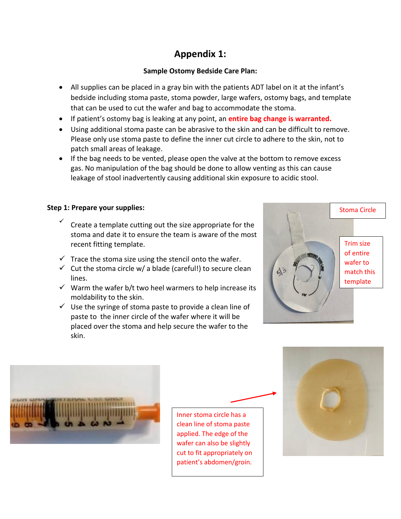# **Appendix 1:**

## **Sample Ostomy Bedside Care Plan:**

- All supplies can be placed in a gray bin with the patients ADT label on it at the infant's bedside including stoma paste, stoma powder, large wafers, ostomy bags, and template that can be used to cut the wafer and bag to accommodate the stoma.
- If patient's ostomy bag is leaking at any point, an **entire bag change is warranted.**
- Using additional stoma paste can be abrasive to the skin and can be difficult to remove. Please only use stoma paste to define the inner cut circle to adhere to the skin, not to patch small areas of leakage.
- If the bag needs to be vented, please open the valve at the bottom to remove excess gas. No manipulation of the bag should be done to allow venting as this can cause leakage of stool inadvertently causing additional skin exposure to acidic stool.

## **Step 1: Prepare your supplies:**

- ✓ Create a template cutting out the size appropriate for the stoma and date it to ensure the team is aware of the most recent fitting template.
- $\checkmark$  Trace the stoma size using the stencil onto the wafer.
- $\checkmark$  Cut the stoma circle w/ a blade (careful!) to secure clean lines.
- $\checkmark$  Warm the wafer b/t two heel warmers to help increase its moldability to the skin.
- $\checkmark$  Use the syringe of stoma paste to provide a clean line of paste to the inner circle of the wafer where it will be placed over the stoma and help secure the wafer to the skin.





Inner stoma circle has a clean line of stoma paste applied. The edge of the wafer can also be slightly cut to fit appropriately on patient's abdomen/groin.

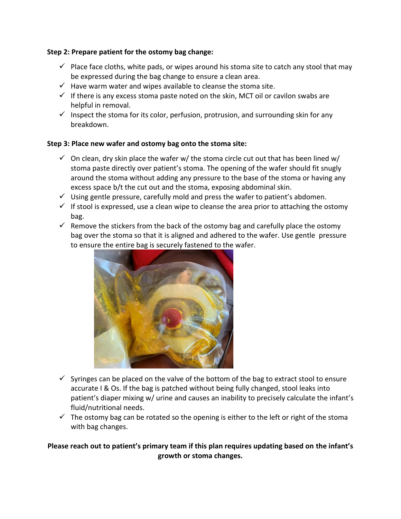#### **Step 2: Prepare patient for the ostomy bag change:**

- $\checkmark$  Place face cloths, white pads, or wipes around his stoma site to catch any stool that may be expressed during the bag change to ensure a clean area.
- $\checkmark$  Have warm water and wipes available to cleanse the stoma site.
- $\checkmark$  If there is any excess stoma paste noted on the skin, MCT oil or cavilon swabs are helpful in removal.
- $\checkmark$  Inspect the stoma for its color, perfusion, protrusion, and surrounding skin for any breakdown.

#### **Step 3: Place new wafer and ostomy bag onto the stoma site:**

- $\checkmark$  On clean, dry skin place the wafer w/ the stoma circle cut out that has been lined w/ stoma paste directly over patient's stoma. The opening of the wafer should fit snugly around the stoma without adding any pressure to the base of the stoma or having any excess space b/t the cut out and the stoma, exposing abdominal skin.
- $\checkmark$  Using gentle pressure, carefully mold and press the wafer to patient's abdomen.
- $\checkmark$  If stool is expressed, use a clean wipe to cleanse the area prior to attaching the ostomy bag.
- $\checkmark$  Remove the stickers from the back of the ostomy bag and carefully place the ostomy bag over the stoma so that it is aligned and adhered to the wafer. Use gentle pressure to ensure the entire bag is securely fastened to the wafer.



- $\checkmark$  Syringes can be placed on the valve of the bottom of the bag to extract stool to ensure accurate I & Os. If the bag is patched without being fully changed, stool leaks into patient's diaper mixing w/ urine and causes an inability to precisely calculate the infant's fluid/nutritional needs.
- $\checkmark$  The ostomy bag can be rotated so the opening is either to the left or right of the stoma with bag changes.

## **Please reach out to patient's primary team if this plan requires updating based on the infant's growth or stoma changes.**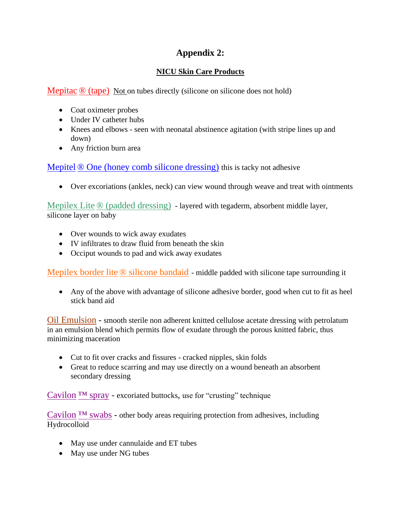# **Appendix 2:**

## **NICU Skin Care Products**

Mepitac  $\mathcal{D}$  (tape) Not on tubes directly (silicone on silicone does not hold)

- Coat oximeter probes
- Under IV catheter hubs
- Knees and elbows seen with neonatal abstinence agitation (with stripe lines up and down)
- Any friction burn area

Mepitel ® One (honey comb silicone dressing) this is tacky not adhesive

• Over excoriations (ankles, neck) can view wound through weave and treat with ointments

Mepilex Lite ® (padded dressing) - layered with tegaderm, absorbent middle layer, silicone layer on baby

- Over wounds to wick away exudates
- IV infiltrates to draw fluid from beneath the skin
- Occiput wounds to pad and wick away exudates

Mepilex border lite ® silicone bandaid - middle padded with silicone tape surrounding it

• Any of the above with advantage of silicone adhesive border, good when cut to fit as heel stick band aid

Oil Emulsion - smooth sterile non adherent knitted cellulose acetate dressing with petrolatum in an emulsion blend which permits flow of exudate through the porous knitted fabric, thus minimizing maceration

- Cut to fit over cracks and fissures cracked nipples, skin folds
- Great to reduce scarring and may use directly on a wound beneath an absorbent secondary dressing

Cavilon  $TM$  spray - excoriated buttocks, use for "crusting" technique

Cavilon  $TM$  swabs - other body areas requiring protection from adhesives, including Hydrocolloid

- May use under cannulaide and ET tubes
- May use under NG tubes